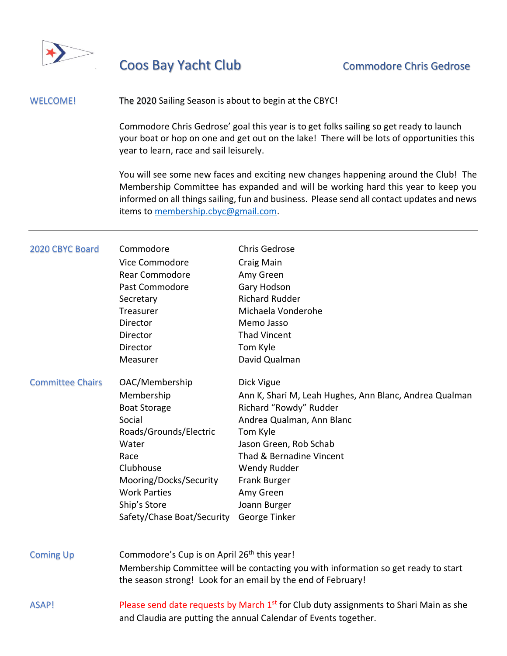

## WELCOME! The 2020 Sailing Season is about to begin at the CBYC!

Commodore Chris Gedrose' goal this year is to get folks sailing so get ready to launch your boat or hop on one and get out on the lake! There will be lots of opportunities this year to learn, race and sail leisurely.

You will see some new faces and exciting new changes happening around the Club! The Membership Committee has expanded and will be working hard this year to keep you informed on all things sailing, fun and business. Please send all contact updates and news items to [membership.cbyc@gmail.com.](mailto:membership.cbyc@gmail.com)

| 2020 CBYC Board         | Commodore<br>Vice Commodore<br>Rear Commodore<br>Past Commodore<br>Secretary<br>Treasurer<br>Director<br>Director<br>Director<br>Measurer                                                                            | <b>Chris Gedrose</b><br>Craig Main<br>Amy Green<br>Gary Hodson<br><b>Richard Rudder</b><br>Michaela Vonderohe<br>Memo Jasso<br><b>Thad Vincent</b><br>Tom Kyle<br>David Qualman                                                                                             |
|-------------------------|----------------------------------------------------------------------------------------------------------------------------------------------------------------------------------------------------------------------|-----------------------------------------------------------------------------------------------------------------------------------------------------------------------------------------------------------------------------------------------------------------------------|
| <b>Committee Chairs</b> | OAC/Membership<br>Membership<br><b>Boat Storage</b><br>Social<br>Roads/Grounds/Electric<br>Water<br>Race<br>Clubhouse<br>Mooring/Docks/Security<br><b>Work Parties</b><br>Ship's Store<br>Safety/Chase Boat/Security | Dick Vigue<br>Ann K, Shari M, Leah Hughes, Ann Blanc, Andrea Qualman<br>Richard "Rowdy" Rudder<br>Andrea Qualman, Ann Blanc<br>Tom Kyle<br>Jason Green, Rob Schab<br>Thad & Bernadine Vincent<br>Wendy Rudder<br>Frank Burger<br>Amy Green<br>Joann Burger<br>George Tinker |
| <b>Coming Up</b>        | Commodore's Cup is on April 26 <sup>th</sup> this year!<br>Membership Committee will be contacting you with information so get ready to start<br>the season strong! Look for an email by the end of February!        |                                                                                                                                                                                                                                                                             |
| ASAP!                   | Please send date requests by March 1 <sup>st</sup> for Club duty assignments to Shari Main as she<br>and Claudia are putting the annual Calendar of Events together.                                                 |                                                                                                                                                                                                                                                                             |